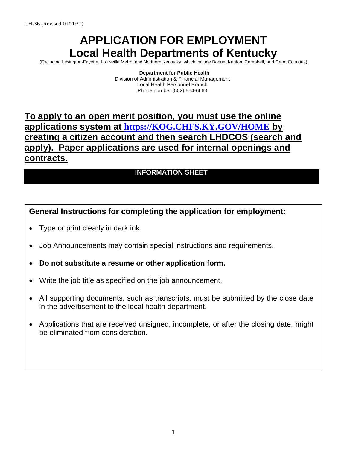# **APPLICATION FOR EMPLOYMENT Local Health Departments of Kentucky**

(Excluding Lexington-Fayette, Louisville Metro, and Northern Kentucky, which include Boone, Kenton, Campbell, and Grant Counties)

**Department for Public Health** Division of Administration & Financial Management Local Health Personnel Branch Phone number (502) 564-6663

# **To apply to an open merit position, you must use the online applications system at [https://KOG.CHFS.KY.GOV/HOME](https://kog.chfs.ky.gov/HOME) by creating a citizen account and then search LHDCOS (search and apply). Paper applications are used for internal openings and contracts.**

## **INFORMATION SHEET**

# **General Instructions for completing the application for employment:**

- Type or print clearly in dark ink.
- Job Announcements may contain special instructions and requirements.
- **Do not substitute a resume or other application form.**
- Write the job title as specified on the job announcement.
- All supporting documents, such as transcripts, must be submitted by the close date in the advertisement to the local health department.
- Applications that are received unsigned, incomplete, or after the closing date, might be eliminated from consideration.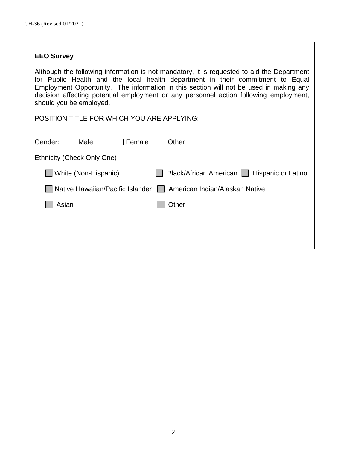#### **EEO Survey**

Although the following information is not mandatory, it is requested to aid the Department for Public Health and the local health department in their commitment to Equal Employment Opportunity. The information in this section will not be used in making any decision affecting potential employment or any personnel action following employment, should you be employed.

| POSITION TITLE FOR WHICH YOU ARE APPLYING: |                                             |
|--------------------------------------------|---------------------------------------------|
|                                            |                                             |
| Gender:<br>Female<br>Male                  | Other                                       |
| Ethnicity (Check Only One)                 |                                             |
| White (Non-Hispanic)                       | Black/African American   Hispanic or Latino |
| Native Hawaiian/Pacific Islander           | American Indian/Alaskan Native              |
| Asian                                      | Other                                       |
|                                            |                                             |
|                                            |                                             |
|                                            |                                             |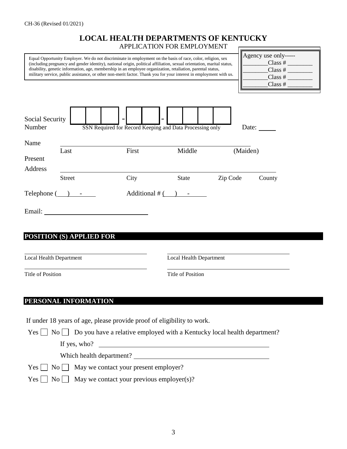.

#### **LOCAL HEALTH DEPARTMENTS OF KENTUCKY** APPLICATION FOR EMPLOYMENT

Equal Opportunity Employer. We do not discriminate in employment on the basis of race, color, religion, sex (including pregnancy and gender identity), national origin, political affiliation, sexual orientation, marital status, disability, genetic information, age, membership in an employee organization, retaliation, parental status, military service, public assistance, or other non-merit factor. Thank you for your interest in employment with us.

| Agency use only----- |  |
|----------------------|--|
| Class#               |  |
| Class #              |  |
| Class #              |  |
| Class #              |  |

| Social Security<br>Number |                          | SSN Required for Record Keeping and Data Processing only | $\overline{\phantom{0}}$ | -              |                          |          | Date:    |        |
|---------------------------|--------------------------|----------------------------------------------------------|--------------------------|----------------|--------------------------|----------|----------|--------|
| Name<br>Present           | Last                     |                                                          | First                    |                | Middle                   |          | (Maiden) |        |
| <b>Address</b>            | <b>Street</b>            |                                                          | City                     |                | <b>State</b>             | Zip Code |          | County |
| Telephone (               | $\overline{\phantom{a}}$ |                                                          |                          | Additional # ( | $\overline{\phantom{a}}$ |          |          |        |
| Email:                    |                          |                                                          |                          |                |                          |          |          |        |

#### **POSITION (S) APPLIED FOR**

|  | Local Health Department |
|--|-------------------------|
|  |                         |

Local Health Department

Title of Position Title of Position

#### **PERSONAL INFORMATION**

If under 18 years of age, please provide proof of eligibility to work. Yes No Do you have a relative employed with a Kentucky local health department? If yes, who? Which health department? Yes No May we contact your present employer?  $Yes \tNo \tNas$  May we contact your previous employer(s)?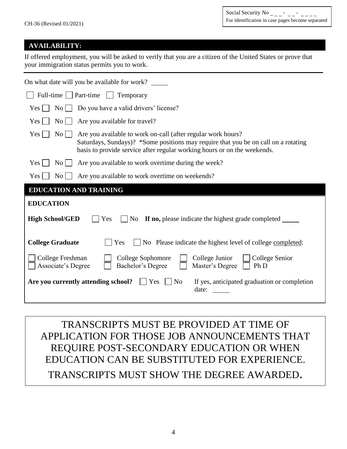### **AVAILABILITY:**

If offered employment, you will be asked to verify that you are a citizen of the United States or prove that your immigration status permits you to work.

| On what date will you be available for work?                                                                                                                                                                                                                  |  |  |  |  |  |
|---------------------------------------------------------------------------------------------------------------------------------------------------------------------------------------------------------------------------------------------------------------|--|--|--|--|--|
| Full-time   Part-time<br>Temporary                                                                                                                                                                                                                            |  |  |  |  |  |
| Do you have a valid drivers' license?<br>Yes  <br>$\overline{N_{O}}$                                                                                                                                                                                          |  |  |  |  |  |
| $\overline{N_{O}}$<br>Are you available for travel?<br>Yes  <br>$\sim$                                                                                                                                                                                        |  |  |  |  |  |
| Yes  <br>$\overline{N_0}$  <br>Are you available to work on-call (after regular work hours?<br>Saturdays, Sundays)? *Some positions may require that you be on call on a rotating<br>basis to provide service after regular working hours or on the weekends. |  |  |  |  |  |
| Are you available to work overtime during the week?<br>$Yes \mid \mid$<br>$\overline{N_{O}}$                                                                                                                                                                  |  |  |  |  |  |
| Yes  <br>$\overline{N_{O}}$<br>Are you available to work overtime on weekends?                                                                                                                                                                                |  |  |  |  |  |
| <b>EDUCATION AND TRAINING</b>                                                                                                                                                                                                                                 |  |  |  |  |  |
| <b>EDUCATION</b>                                                                                                                                                                                                                                              |  |  |  |  |  |
|                                                                                                                                                                                                                                                               |  |  |  |  |  |
| <b>High School/GED</b><br>Yes<br>N <sub>o</sub><br><b>If no,</b> please indicate the highest grade completed                                                                                                                                                  |  |  |  |  |  |
| <b>College Graduate</b><br>No Please indicate the highest level of college completed:<br>Yes                                                                                                                                                                  |  |  |  |  |  |
| College Freshman<br>College Sophomore<br>College Junior<br>College Senior<br>Associate's Degree<br>Bachelor's Degree<br>Master's Degree<br>Ph D                                                                                                               |  |  |  |  |  |

TRANSCRIPTS MUST BE PROVIDED AT TIME OF APPLICATION FOR THOSE JOB ANNOUNCEMENTS THAT REQUIRE POST-SECONDARY EDUCATION OR WHEN EDUCATION CAN BE SUBSTITUTED FOR EXPERIENCE. TRANSCRIPTS MUST SHOW THE DEGREE AWARDED.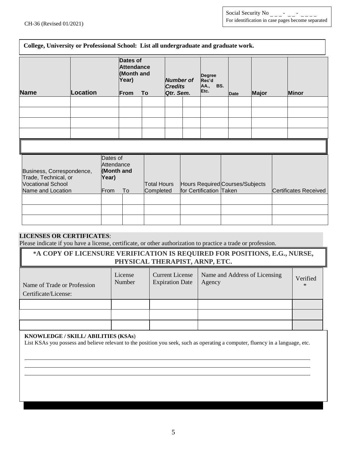#### **College, University or Professional School: List all undergraduate and graduate work.**

| <b>Name</b>                                                                                        | Location |                                                       | Dates of<br><b>Attendance</b><br>(Month and<br>Year)<br>From | To                              | Number of<br><b>Credits</b><br>Qtr. Sem. | Degree<br>Rec'd<br>BS.<br>AA.,<br>Etc.                     | Date | <b>Major</b> | <b>Minor</b>                 |  |
|----------------------------------------------------------------------------------------------------|----------|-------------------------------------------------------|--------------------------------------------------------------|---------------------------------|------------------------------------------|------------------------------------------------------------|------|--------------|------------------------------|--|
|                                                                                                    |          |                                                       |                                                              |                                 |                                          |                                                            |      |              |                              |  |
|                                                                                                    |          |                                                       |                                                              |                                 |                                          |                                                            |      |              |                              |  |
|                                                                                                    |          |                                                       |                                                              |                                 |                                          |                                                            |      |              |                              |  |
|                                                                                                    |          |                                                       |                                                              |                                 |                                          |                                                            |      |              |                              |  |
|                                                                                                    |          |                                                       |                                                              |                                 |                                          |                                                            |      |              |                              |  |
|                                                                                                    |          |                                                       |                                                              |                                 |                                          |                                                            |      |              |                              |  |
| Business, Correspondence,<br>Trade, Technical, or<br><b>Vocational School</b><br>Name and Location |          | Dates of<br>Attendance<br>(Month and<br>Year)<br>From | To                                                           | <b>Total Hours</b><br>Completed |                                          | Hours Required Courses/Subjects<br>for Certification Taken |      |              | <b>Certificates Received</b> |  |
|                                                                                                    |          |                                                       |                                                              |                                 |                                          |                                                            |      |              |                              |  |
|                                                                                                    |          |                                                       |                                                              |                                 |                                          |                                                            |      |              |                              |  |
|                                                                                                    |          |                                                       |                                                              |                                 |                                          |                                                            |      |              |                              |  |

#### **LICENSES OR CERTIFICATES**:

Please indicate if you have a license, certificate, or other authorization to practice a trade or profession.

#### **\*A COPY OF LICENSURE VERIFICATION IS REQUIRED FOR POSITIONS, E.G., NURSE, PHYSICAL THERAPIST, ARNP, ETC.**

| Name of Trade or Profession<br>Certificate/License: | License<br>Number | <b>Current License</b><br><b>Expiration Date</b> | Name and Address of Licensing<br>Agency | Verified<br>$*$ |
|-----------------------------------------------------|-------------------|--------------------------------------------------|-----------------------------------------|-----------------|
|                                                     |                   |                                                  |                                         |                 |
|                                                     |                   |                                                  |                                         |                 |
|                                                     |                   |                                                  |                                         |                 |

#### **KNOWLEDGE / SKILL/ ABILITIES (KSAs**)

List KSAs you possess and believe relevant to the position you seek, such as operating a computer, fluency in a language, etc.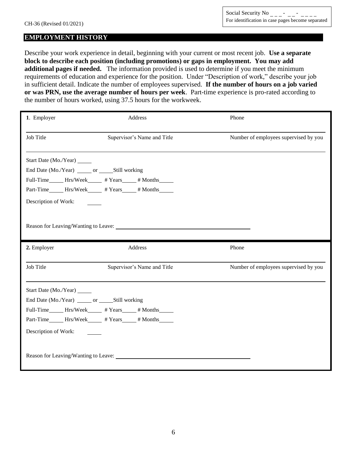Social Security No  $\frac{1}{2}$  -  $\frac{1}{2}$  -  $\frac{1}{2}$  -  $\frac{1}{2}$  -  $\frac{1}{2}$  -  $\frac{1}{2}$ For identification in case pages become separated

#### **EMPLOYMENT HISTORY**

Describe your work experience in detail, beginning with your current or most recent job. **Use a separate block to describe each position (including promotions) or gaps in employment. You may add additional pages if needed.** The information provided is used to determine if you meet the minimum requirements of education and experience for the position. Under "Description of work," describe your job in sufficient detail. Indicate the number of employees supervised. **If the number of hours on a job varied or was PRN, use the average number of hours per week**. Part-time experience is pro-rated according to the number of hours worked, using 37.5 hours for the workweek.

| 1. Employer                                         | Address                                                      | Phone                                 |
|-----------------------------------------------------|--------------------------------------------------------------|---------------------------------------|
| Job Title                                           | Supervisor's Name and Title                                  | Number of employees supervised by you |
| Start Date (Mo./Year)                               |                                                              |                                       |
| End Date (Mo./Year) ______ or _______ Still working |                                                              |                                       |
|                                                     | Full-Time_______Hrs/Week_______ # Years______ # Months______ |                                       |
|                                                     | Part-Time_______Hrs/Week______ # Years_____ # Months______   |                                       |
| Description of Work:                                |                                                              |                                       |
|                                                     |                                                              |                                       |
|                                                     |                                                              |                                       |
|                                                     |                                                              |                                       |
| 2. Employer                                         | Address                                                      | Phone                                 |
| Job Title                                           | Supervisor's Name and Title                                  | Number of employees supervised by you |
| Start Date (Mo./Year) ______                        |                                                              |                                       |
| End Date (Mo./Year) ______ or _______ Still working |                                                              |                                       |
|                                                     | Full-Time_______Hrs/Week_______ # Years______ # Months______ |                                       |
|                                                     | Part-Time_______Hrs/Week_______ # Years______ # Months______ |                                       |
| Description of Work:                                |                                                              |                                       |
|                                                     |                                                              |                                       |
| Reason for Leaving/Wanting to Leave:                |                                                              |                                       |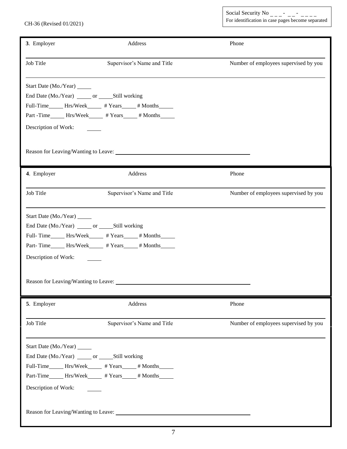Social Security No  $\qquad -$ For identification in case pages become separated

| CH-36 (Revised 01/2021) |  |
|-------------------------|--|
|-------------------------|--|

| 3. Employer                                        | Address                                                       | Phone                                 |
|----------------------------------------------------|---------------------------------------------------------------|---------------------------------------|
| Job Title                                          | Supervisor's Name and Title                                   | Number of employees supervised by you |
| Start Date (Mo./Year) ______                       |                                                               |                                       |
| End Date (Mo./Year) ______ or ______Still working  |                                                               |                                       |
|                                                    | Full-Time______Hrs/Week______ # Years_____ # Months______     |                                       |
|                                                    | Part - Time_______Hrs/Week_______ # Years_____ # Months______ |                                       |
| Description of Work:                               |                                                               |                                       |
|                                                    |                                                               |                                       |
| 4. Employer                                        | Address                                                       | Phone                                 |
| Job Title                                          | Supervisor's Name and Title                                   | Number of employees supervised by you |
| Start Date (Mo./Year) ______                       |                                                               |                                       |
| End Date (Mo./Year) ______ or _______Still working |                                                               |                                       |
|                                                    | Full-Time Hrs/Week # Years # Months                           |                                       |
|                                                    | Part-Time______Hrs/Week______ # Years_____ # Months______     |                                       |
| Description of Work:                               |                                                               |                                       |
|                                                    |                                                               |                                       |
|                                                    |                                                               |                                       |
| 5. Employer                                        | Address                                                       | Phone                                 |
| Job Title                                          | Supervisor's Name and Title                                   | Number of employees supervised by you |
| Start Date (Mo./Year)                              |                                                               |                                       |
| End Date (Mo./Year) ______ or _______Still working |                                                               |                                       |
|                                                    | Full-Time_______Hrs/Week_______ # Years______ # Months_______ |                                       |
|                                                    | Part-Time______Hrs/Week______ # Years_____ # Months______     |                                       |
| Description of Work:                               |                                                               |                                       |
| Reason for Leaving/Wanting to Leave:               |                                                               |                                       |